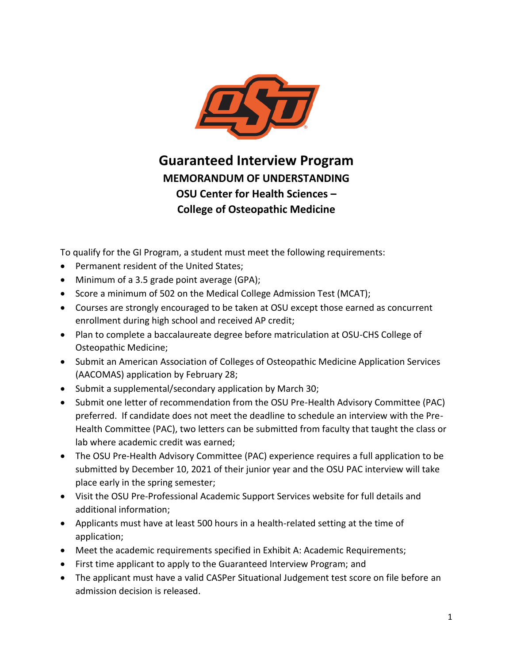

**Guaranteed Interview Program MEMORANDUM OF UNDERSTANDING OSU Center for Health Sciences – College of Osteopathic Medicine**

To qualify for the GI Program, a student must meet the following requirements:

- Permanent resident of the United States;
- Minimum of a 3.5 grade point average (GPA);
- Score a minimum of 502 on the Medical College Admission Test (MCAT);
- Courses are strongly encouraged to be taken at OSU except those earned as concurrent enrollment during high school and received AP credit;
- Plan to complete a baccalaureate degree before matriculation at OSU-CHS College of Osteopathic Medicine;
- Submit an American Association of Colleges of Osteopathic Medicine Application Services (AACOMAS) application by February 28;
- Submit a supplemental/secondary application by March 30;
- Submit one letter of recommendation from the OSU Pre-Health Advisory Committee (PAC) preferred. If candidate does not meet the deadline to schedule an interview with the Pre-Health Committee (PAC), two letters can be submitted from faculty that taught the class or lab where academic credit was earned;
- The OSU Pre-Health Advisory Committee (PAC) experience requires a full application to be submitted by December 10, 2021 of their junior year and the OSU PAC interview will take place early in the spring semester;
- Visit the OSU Pre-Professional Academic Support Services website for full details and additional information;
- Applicants must have at least 500 hours in a health-related setting at the time of application;
- Meet the academic requirements specified in Exhibit A: Academic Requirements;
- First time applicant to apply to the Guaranteed Interview Program; and
- The applicant must have a valid CASPer Situational Judgement test score on file before an admission decision is released.